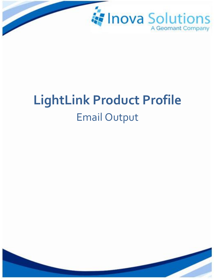

# **LightLink Product Profile** Email Output

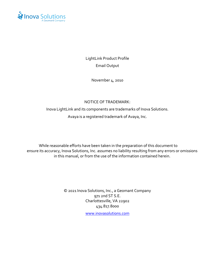

LightLink Product Profile Email Output

November 4, 2010

#### NOTICE OF TRADEMARK:

Inova LightLink and its components are trademarks of Inova Solutions. Avaya is a registered trademark of Avaya, Inc.

While reasonable efforts have been taken in the preparation of this document to ensure its accuracy, Inova Solutions, Inc. assumes no liability resulting from any errors or omissions in this manual, or from the use of the information contained herein.

> © 2021 Inova Solutions, Inc., a Geomant Company 971 2nd ST S.E. Charlottesville, VA 22902 434.817.8000

[www.inovasolutions.com](http://www.inovasolutions.com/)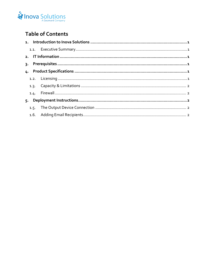

## **Table of Contents**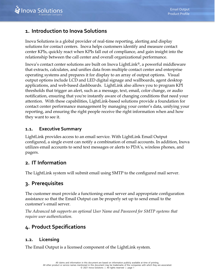

## <span id="page-3-0"></span>**1. Introduction to Inova Solutions**

Inova Solutions is a global provider of real-time reporting, alerting and display solutions for contact centers. Inova helps customers identify and measure contact center KPIs, quickly react when KPIs fall out of compliance, and gain insight into the relationship between the call center and overall organizational performance.

Inova's contact center solutions are built on Inova LightLink®, a powerful middleware that extracts, calculates, and unifies data from multiple contact center and enterprise operating systems and prepares it for display to an array of output options. Visual output options include LCD and LED digital signage and wallboards, agent desktop applications, and web-based dashboards. LightLink also allows you to program KPI thresholds that trigger an alert, such as a message, text, email, color change, or audio notification, ensuring that you're instantly aware of changing conditions that need your attention. With these capabilities, LightLink-based solutions provide a foundation for contact center performance management by managing your center's data, unifying your reporting, and ensuring the right people receive the right information when and how they want to see it.

#### <span id="page-3-1"></span>**1.1. Executive Summary**

LightLink provides access to an email service. With LightLink Email Output configured, a single event can notify a combination of email accounts. In addition, Inova utilizes email accounts to send text messages or alerts to PDA's, wireless phones, and pagers.

## <span id="page-3-2"></span>**2. IT Information**

<span id="page-3-3"></span>The LightLink system will submit email using SMTP to the configured mail server.

## **3. Prerequisites**

The customer must provide a functioning email server and appropriate configuration assistance so that the Email Output can be properly set up to send email to the customer's email server.

*The Advanced tab supports an optional User Name and Password for SMTP systems that require user authentication.*

## <span id="page-3-4"></span>**4. Product Specifications**

## <span id="page-3-5"></span>**1.2. Licensing**

The Email Output is a licensed component of the LightLink system.